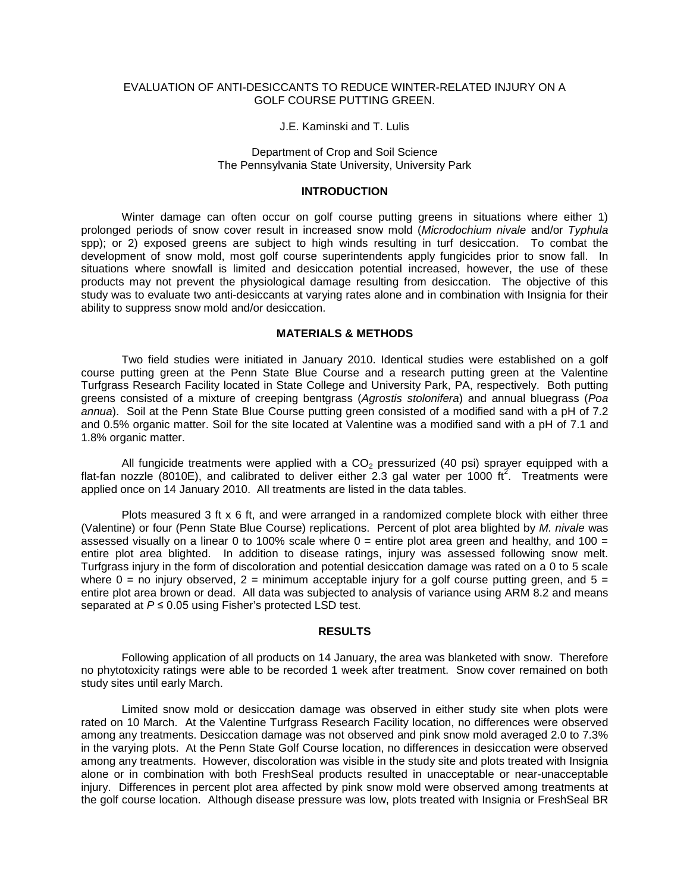## EVALUATION OF ANTI-DESICCANTS TO REDUCE WINTER-RELATED INJURY ON A GOLF COURSE PUTTING GREEN.

#### J.E. Kaminski and T. Lulis

### Department of Crop and Soil Science The Pennsylvania State University, University Park

#### **INTRODUCTION**

Winter damage can often occur on golf course putting greens in situations where either 1) prolonged periods of snow cover result in increased snow mold (*Microdochium nivale* and/or *Typhula* spp); or 2) exposed greens are subject to high winds resulting in turf desiccation. To combat the development of snow mold, most golf course superintendents apply fungicides prior to snow fall. In situations where snowfall is limited and desiccation potential increased, however, the use of these products may not prevent the physiological damage resulting from desiccation. The objective of this study was to evaluate two anti-desiccants at varying rates alone and in combination with Insignia for their ability to suppress snow mold and/or desiccation.

# **MATERIALS & METHODS**

Two field studies were initiated in January 2010. Identical studies were established on a golf course putting green at the Penn State Blue Course and a research putting green at the Valentine Turfgrass Research Facility located in State College and University Park, PA, respectively. Both putting greens consisted of a mixture of creeping bentgrass (*Agrostis stolonifera*) and annual bluegrass (*Poa annua*). Soil at the Penn State Blue Course putting green consisted of a modified sand with a pH of 7.2 and 0.5% organic matter. Soil for the site located at Valentine was a modified sand with a pH of 7.1 and 1.8% organic matter.

All fungicide treatments were applied with a  $CO<sub>2</sub>$  pressurized (40 psi) sprayer equipped with a flat-fan nozzle (8010E), and calibrated to deliver either 2.3 gal water per 1000 ft<sup>2</sup>. Treatments were applied once on 14 January 2010. All treatments are listed in the data tables.

Plots measured 3 ft x 6 ft, and were arranged in a randomized complete block with either three (Valentine) or four (Penn State Blue Course) replications. Percent of plot area blighted by *M. nivale* was assessed visually on a linear 0 to 100% scale where  $0 =$  entire plot area green and healthy, and 100 = entire plot area blighted. In addition to disease ratings, injury was assessed following snow melt. Turfgrass injury in the form of discoloration and potential desiccation damage was rated on a 0 to 5 scale where  $0 =$  no injury observed,  $2 =$  minimum acceptable injury for a golf course putting green, and  $5 =$ entire plot area brown or dead. All data was subjected to analysis of variance using ARM 8.2 and means separated at *P* ≤ 0.05 using Fisher's protected LSD test.

## **RESULTS**

Following application of all products on 14 January, the area was blanketed with snow. Therefore no phytotoxicity ratings were able to be recorded 1 week after treatment. Snow cover remained on both study sites until early March.

Limited snow mold or desiccation damage was observed in either study site when plots were rated on 10 March. At the Valentine Turfgrass Research Facility location, no differences were observed among any treatments. Desiccation damage was not observed and pink snow mold averaged 2.0 to 7.3% in the varying plots. At the Penn State Golf Course location, no differences in desiccation were observed among any treatments. However, discoloration was visible in the study site and plots treated with Insignia alone or in combination with both FreshSeal products resulted in unacceptable or near-unacceptable injury. Differences in percent plot area affected by pink snow mold were observed among treatments at the golf course location. Although disease pressure was low, plots treated with Insignia or FreshSeal BR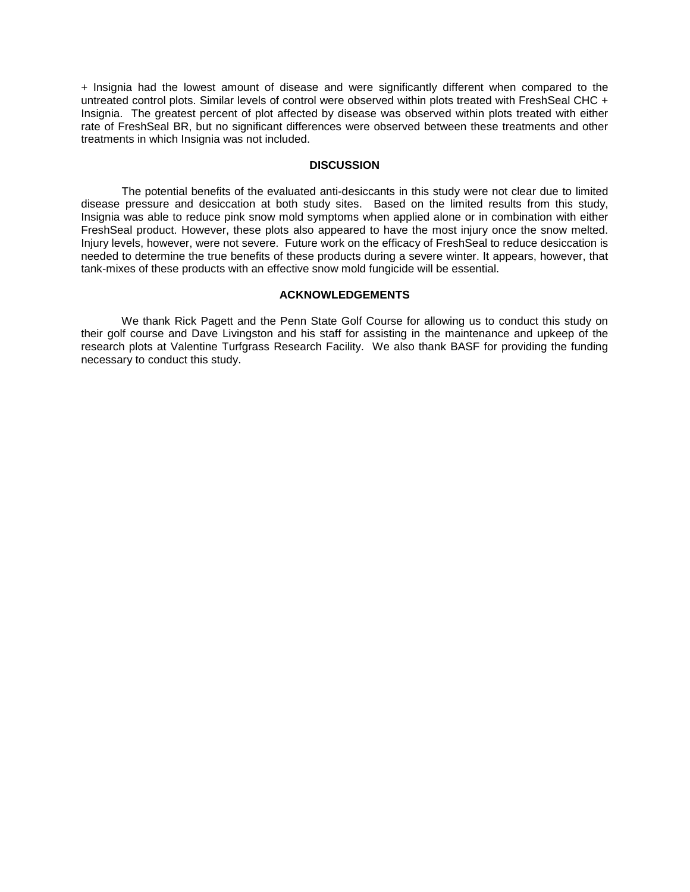+ Insignia had the lowest amount of disease and were significantly different when compared to the untreated control plots. Similar levels of control were observed within plots treated with FreshSeal CHC + Insignia. The greatest percent of plot affected by disease was observed within plots treated with either rate of FreshSeal BR, but no significant differences were observed between these treatments and other treatments in which Insignia was not included.

## **DISCUSSION**

The potential benefits of the evaluated anti-desiccants in this study were not clear due to limited disease pressure and desiccation at both study sites. Based on the limited results from this study, Insignia was able to reduce pink snow mold symptoms when applied alone or in combination with either FreshSeal product. However, these plots also appeared to have the most injury once the snow melted. Injury levels, however, were not severe. Future work on the efficacy of FreshSeal to reduce desiccation is needed to determine the true benefits of these products during a severe winter. It appears, however, that tank-mixes of these products with an effective snow mold fungicide will be essential.

## **ACKNOWLEDGEMENTS**

We thank Rick Pagett and the Penn State Golf Course for allowing us to conduct this study on their golf course and Dave Livingston and his staff for assisting in the maintenance and upkeep of the research plots at Valentine Turfgrass Research Facility. We also thank BASF for providing the funding necessary to conduct this study.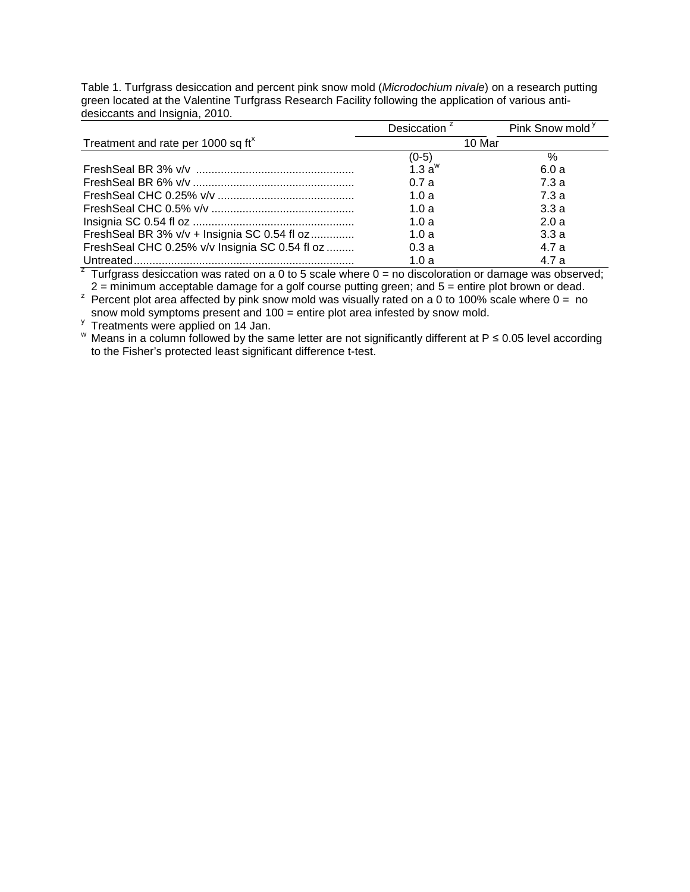Table 1. Turfgrass desiccation and percent pink snow mold (*Microdochium nivale*) on a research putting green located at the Valentine Turfgrass Research Facility following the application of various antidesiccants and Insignia, 2010.

|                                                | Desiccation <sup>2</sup> | Pink Snow mold <sup>y</sup> |
|------------------------------------------------|--------------------------|-----------------------------|
| Treatment and rate per 1000 sq ft <sup>x</sup> | 10 Mar                   |                             |
|                                                | (0-5)                    | $\%$                        |
|                                                | $1.3a^w$                 | 6.0a                        |
|                                                | 0.7a                     | 7.3 a                       |
|                                                | 1.0a                     | 7.3a                        |
|                                                | 1.0a                     | 3.3a                        |
|                                                | 1.0a                     | 2.0a                        |
| FreshSeal BR 3% v/v + Insignia SC 0.54 fl oz   | 1.0a                     | 3.3a                        |
| FreshSeal CHC 0.25% v/v Insignia SC 0.54 fl oz | 0.3a                     | 4.7 a                       |
|                                                | 1.0a                     | 4.7 a                       |

<sup>z</sup> Turfgrass desiccation was rated on a 0 to 5 scale where  $0 =$  no discoloration or damage was observed;<br>2 = minimum acceptable damage for a golf course putting green; and 5 = entire plot brown or dead.

<sup>z</sup> Percent plot area affected by pink snow mold was visually rated on a 0 to 100% scale where  $0 =$  no

snow mold symptoms present and 100 = entire plot area infested by snow mold.<br>
<sup>y</sup> Treatments were applied on 14 Jan.

W Means in a column followed by the same letter are not significantly different at P  $\leq$  0.05 level according to the Fisher's protected least significant difference t-test.